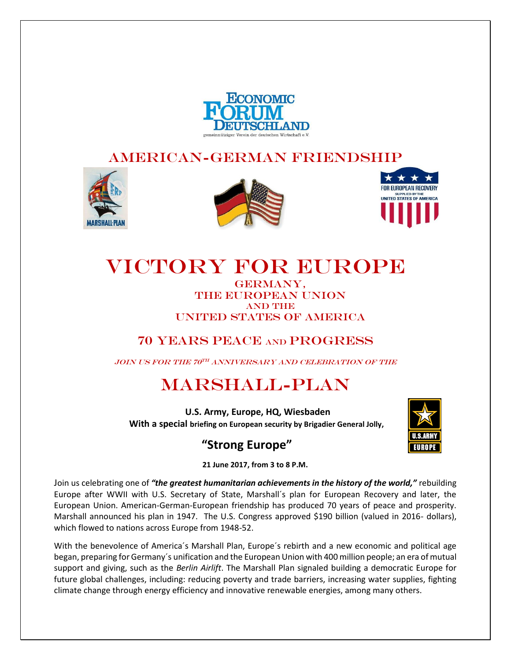

## American-German Friendship







# Victory for Europe

GERMANY, THE EUROPEAN UNION **AND THE** UNITED STATES OF AMERICA

## 70 Years Peace and Progress

 $_{JOIN}$  US for the 70TH anniversary and Celebration of the

# Marshall-Plan

 **U.S. Army, Europe, HQ, Wiesbaden With a special briefing on European security by Brigadier General Jolly,**

# **"Strong Europe"**



**21 June 2017, from 3 to 8 P.M.**

Join us celebrating one of *"the greatest humanitarian achievements in the history of the world,"* rebuilding Europe after WWII with U.S. Secretary of State, Marshall´s plan for European Recovery and later, the European Union. American-German-European friendship has produced 70 years of peace and prosperity. Marshall announced his plan in 1947. The U.S. Congress approved \$190 billion (valued in 2016- dollars), which flowed to nations across Europe from 1948-52.

With the benevolence of America´s Marshall Plan, Europe´s rebirth and a new economic and political age began, preparing for Germany´s unification and the European Union with 400 million people; an era of mutual support and giving, such as the *Berlin Airlift*. The Marshall Plan signaled building a democratic Europe for future global challenges, including: reducing poverty and trade barriers, increasing water supplies, fighting climate change through energy efficiency and innovative renewable energies, among many others.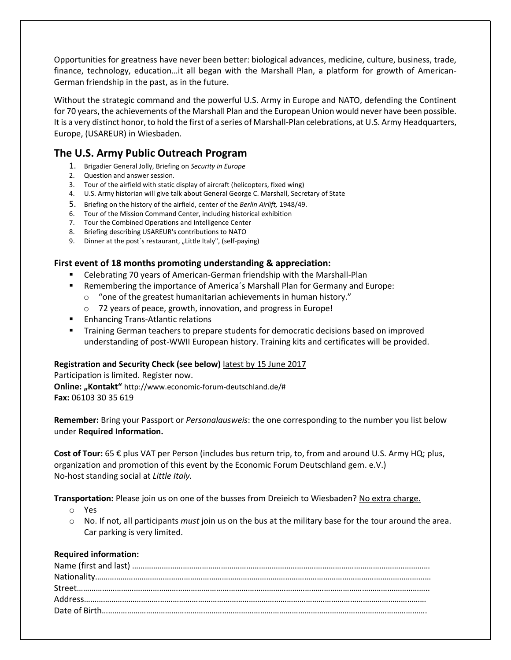Opportunities for greatness have never been better: biological advances, medicine, culture, business, trade, finance, technology, education…it all began with the Marshall Plan, a platform for growth of American-German friendship in the past, as in the future.

Without the strategic command and the powerful U.S. Army in Europe and NATO, defending the Continent for 70 years, the achievements of the Marshall Plan and the European Union would never have been possible. It is a very distinct honor, to hold the first of a series of Marshall-Plan celebrations, at U.S. Army Headquarters, Europe, (USAREUR) in Wiesbaden.

## **The U.S. Army Public Outreach Program**

- 1. Brigadier General Jolly, Briefing on *Security in Europe*
- 2. Question and answer session.
- 3. Tour of the airfield with static display of aircraft (helicopters, fixed wing)
- 4. U.S. Army historian will give talk about General George C. Marshall, Secretary of State
- 5. Briefing on the history of the airfield, center of the *Berlin Airlift,* 1948/49.
- 6. Tour of the Mission Command Center, including historical exhibition
- 7. Tour the Combined Operations and Intelligence Center
- 8. Briefing describing USAREUR's contributions to NATO
- 9. Dinner at the post's restaurant, "Little Italy", (self-paying)

## **First event of 18 months promoting understanding & appreciation:**

- Celebrating 70 years of American-German friendship with the Marshall-Plan
- Remembering the importance of America's Marshall Plan for Germany and Europe:
	- o "one of the greatest humanitarian achievements in human history."
	- o 72 years of peace, growth, innovation, and progress in Europe!
- Enhancing Trans-Atlantic relations
- Training German teachers to prepare students for democratic decisions based on improved understanding of post-WWII European history. Training kits and certificates will be provided.

### **Registration and Security Check (see below)** latest by 15 June 2017

Participation is limited. Register now. **Online: "Kontakt"** http://www.economic-forum-deutschland.de/# **Fax:** 06103 30 35 619

**Remember:** Bring your Passport or *Personalausweis*: the one corresponding to the number you list below under **Required Information.**

**Cost of Tour:** 65 € plus VAT per Person (includes bus return trip, to, from and around U.S. Army HQ; plus, organization and promotion of this event by the Economic Forum Deutschland gem. e.V.) No-host standing social at *Little Italy.*

**Transportation:** Please join us on one of the busses from Dreieich to Wiesbaden? No extra charge.

- o Yes
- o No. If not, all participants *must* join us on the bus at the military base for the tour around the area. Car parking is very limited.

### **Required information:**

| $\textbf{Nationality} \textcolor{red}{.}\textcolor{blue}{.}\textbf{1} \textbf{1} \textbf{1} \textbf{1} \textbf{1} \textbf{1} \textbf{1} \textbf{1} \textbf{1} \textbf{1} \textbf{1} \textbf{1} \textbf{1} \textbf{1} \textbf{1} \textbf{1} \textbf{1} \textbf{1} \textbf{1} \textbf{1} \textbf{1} \textbf{1} \textbf{1} \textbf{1} \textbf{1} \textbf{1} \textbf{1} \textbf{1} \textbf{1} \textbf{1} \textbf{1} \textbf{1} \textbf{1} \$ |
|------------------------------------------------------------------------------------------------------------------------------------------------------------------------------------------------------------------------------------------------------------------------------------------------------------------------------------------------------------------------------------------------------------------------------------------|
|                                                                                                                                                                                                                                                                                                                                                                                                                                          |
|                                                                                                                                                                                                                                                                                                                                                                                                                                          |
|                                                                                                                                                                                                                                                                                                                                                                                                                                          |